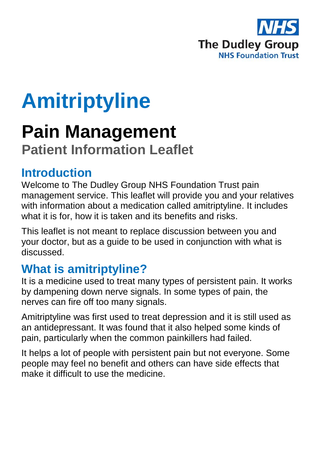

# **Amitriptyline**

# **Pain Management**

# **Patient Information Leaflet**

### **Introduction**

Welcome to The Dudley Group NHS Foundation Trust pain management service. This leaflet will provide you and your relatives with information about a medication called amitriptyline. It includes what it is for, how it is taken and its benefits and risks.

This leaflet is not meant to replace discussion between you and your doctor, but as a guide to be used in conjunction with what is discussed.

## **What is amitriptyline?**

It is a medicine used to treat many types of persistent pain. It works by dampening down nerve signals. In some types of pain, the nerves can fire off too many signals.

Amitriptyline was first used to treat depression and it is still used as an antidepressant. It was found that it also helped some kinds of pain, particularly when the common painkillers had failed.

It helps a lot of people with persistent pain but not everyone. Some people may feel no benefit and others can have side effects that make it difficult to use the medicine.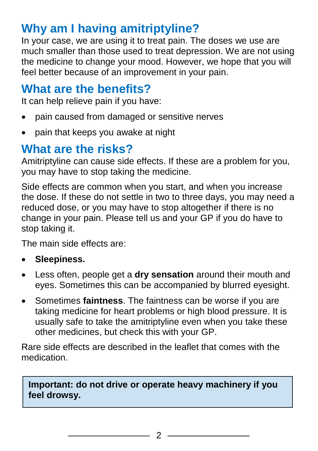# **Why am I having amitriptyline?**

In your case, we are using it to treat pain. The doses we use are much smaller than those used to treat depression. We are not using the medicine to change your mood. However, we hope that you will feel better because of an improvement in your pain.

#### **What are the benefits?**

It can help relieve pain if you have:

- pain caused from damaged or sensitive nerves
- pain that keeps you awake at night

### **What are the risks?**

Amitriptyline can cause side effects. If these are a problem for you, you may have to stop taking the medicine.

Side effects are common when you start, and when you increase the dose. If these do not settle in two to three days, you may need a reduced dose, or you may have to stop altogether if there is no change in your pain. Please tell us and your GP if you do have to stop taking it.

The main side effects are:

- **Sleepiness.**
- Less often, people get a **dry sensation** around their mouth and eyes. Sometimes this can be accompanied by blurred eyesight.
- Sometimes **faintness**. The faintness can be worse if you are taking medicine for heart problems or high blood pressure. It is usually safe to take the amitriptyline even when you take these other medicines, but check this with your GP.

Rare side effects are described in the leaflet that comes with the medication.

#### **Important: do not drive or operate heavy machinery if you feel drowsy.**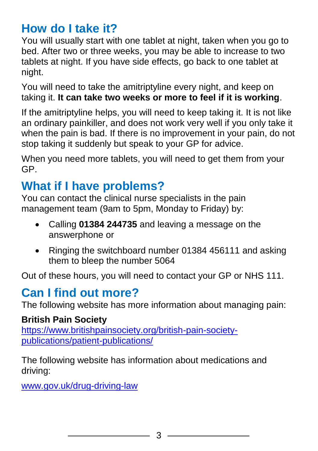### **How do I take it?**

You will usually start with one tablet at night, taken when you go to bed. After two or three weeks, you may be able to increase to two tablets at night. If you have side effects, go back to one tablet at night.

You will need to take the amitriptyline every night, and keep on taking it. **It can take two weeks or more to feel if it is working**.

If the amitriptyline helps, you will need to keep taking it. It is not like an ordinary painkiller, and does not work very well if you only take it when the pain is bad. If there is no improvement in your pain, do not stop taking it suddenly but speak to your GP for advice.

When you need more tablets, you will need to get them from your GP.

## **What if I have problems?**

You can contact the clinical nurse specialists in the pain management team (9am to 5pm, Monday to Friday) by:

- Calling **01384 244735** and leaving a message on the answerphone or
- Ringing the switchboard number 01384 456111 and asking them to bleep the number 5064

Out of these hours, you will need to contact your GP or NHS 111.

### **Can I find out more?**

The following website has more information about managing pain:

#### **British Pain Society**

[https://www.britishpainsociety.org/british-pain-society](https://www.britishpainsociety.org/british-pain-society-publications/patient-publications/)[publications/patient-publications/](https://www.britishpainsociety.org/british-pain-society-publications/patient-publications/)

The following website has information about medications and driving:

[www.gov.uk/drug-driving-law](file:///C:/Users/ghar01.DGH/AppData/Local/Temp/Temp1_FW__Pain_management_leaflets_.zip/www.gov.uk/drug-driving-law)